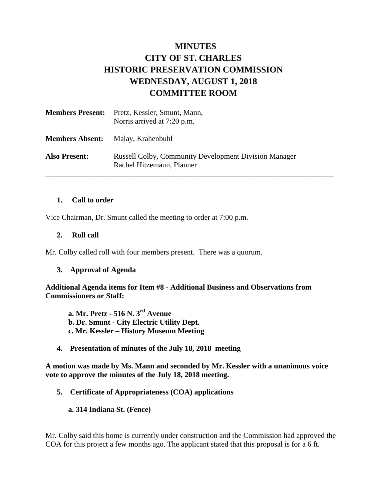# **MINUTES CITY OF ST. CHARLES HISTORIC PRESERVATION COMMISSION WEDNESDAY, AUGUST 1, 2018 COMMITTEE ROOM**

| <b>Members Present:</b> | Pretz, Kessler, Smunt, Mann,<br>Norris arrived at 7:20 p.m.                               |
|-------------------------|-------------------------------------------------------------------------------------------|
| <b>Members Absent:</b>  | Malay, Krahenbuhl                                                                         |
| <b>Also Present:</b>    | <b>Russell Colby, Community Development Division Manager</b><br>Rachel Hitzemann, Planner |

#### **1. Call to order**

Vice Chairman, Dr. Smunt called the meeting to order at 7:00 p.m.

#### **2. Roll call**

Mr. Colby called roll with four members present. There was a quorum.

#### **3. Approval of Agenda**

**Additional Agenda items for Item #8 - Additional Business and Observations from Commissioners or Staff:** 

**a. Mr. Pretz - 516 N. 3rd Avenue b. Dr. Smunt - City Electric Utility Dept. c. Mr. Kessler – History Museum Meeting**

**4. Presentation of minutes of the July 18, 2018 meeting**

**A motion was made by Ms. Mann and seconded by Mr. Kessler with a unanimous voice vote to approve the minutes of the July 18, 2018 meeting.** 

**5. Certificate of Appropriateness (COA) applications**

**a. 314 Indiana St. (Fence)**

Mr. Colby said this home is currently under construction and the Commission had approved the COA for this project a few months ago. The applicant stated that this proposal is for a 6 ft.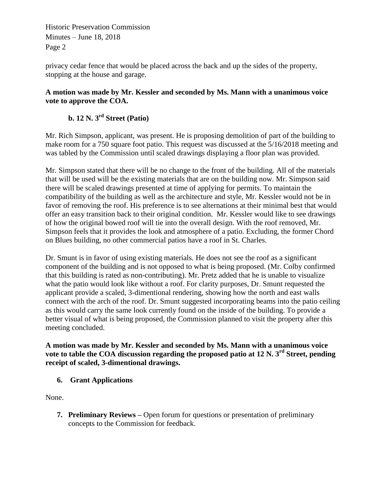Historic Preservation Commission Minutes – June 18, 2018 Page 2

privacy cedar fence that would be placed across the back and up the sides of the property, stopping at the house and garage.

## **A motion was made by Mr. Kessler and seconded by Ms. Mann with a unanimous voice vote to approve the COA.**

# **b. 12 N. 3rd Street (Patio)**

Mr. Rich Simpson, applicant, was present. He is proposing demolition of part of the building to make room for a 750 square foot patio. This request was discussed at the 5/16/2018 meeting and was tabled by the Commission until scaled drawings displaying a floor plan was provided.

Mr. Simpson stated that there will be no change to the front of the building. All of the materials that will be used will be the existing materials that are on the building now. Mr. Simpson said there will be scaled drawings presented at time of applying for permits. To maintain the compatibility of the building as well as the architecture and style, Mr. Kessler would not be in favor of removing the roof. His preference is to see alternations at their minimal best that would offer an easy transition back to their original condition. Mr. Kessler would like to see drawings of how the original bowed roof will tie into the overall design. With the roof removed, Mr. Simpson feels that it provides the look and atmosphere of a patio. Excluding, the former Chord on Blues building, no other commercial patios have a roof in St. Charles.

Dr. Smunt is in favor of using existing materials. He does not see the roof as a significant component of the building and is not opposed to what is being proposed. (Mr. Colby confirmed that this building is rated as non-contributing). Mr. Pretz added that he is unable to visualize what the patio would look like without a roof. For clarity purposes, Dr. Smunt requested the applicant provide a scaled, 3-dimentional rendering, showing how the north and east walls connect with the arch of the roof. Dr. Smunt suggested incorporating beams into the patio ceiling as this would carry the same look currently found on the inside of the building. To provide a better visual of what is being proposed, the Commission planned to visit the property after this meeting concluded.

**A motion was made by Mr. Kessler and seconded by Ms. Mann with a unanimous voice vote to table the COA discussion regarding the proposed patio at 12 N. 3rd Street, pending receipt of scaled, 3-dimentional drawings.** 

## **6. Grant Applications**

None.

**7. Preliminary Reviews –** Open forum for questions or presentation of preliminary concepts to the Commission for feedback.